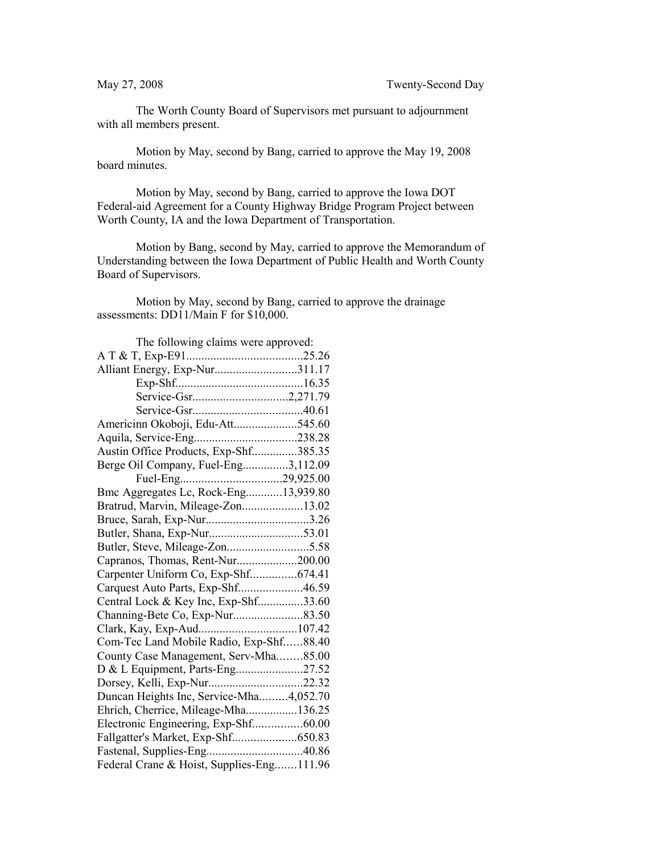The Worth County Board of Supervisors met pursuant to adjournment with all members present.

Motion by May, second by Bang, carried to approve the May 19, 2008 board minutes.

Motion by May, second by Bang, carried to approve the Iowa DOT Federal-aid Agreement for a County Highway Bridge Program Project between Worth County, IA and the Iowa Department of Transportation.

Motion by Bang, second by May, carried to approve the Memorandum of Understanding between the Iowa Department of Public Health and Worth County Board of Supervisors.

Motion by May, second by Bang, carried to approve the drainage assessments: DD11/Main F for \$10,000.

| The following claims were approved:       |  |
|-------------------------------------------|--|
|                                           |  |
| Alliant Energy, Exp-Nur311.17             |  |
|                                           |  |
| Service-Gsr2,271.79                       |  |
|                                           |  |
| Americinn Okoboji, Edu-Att545.60          |  |
| Aquila, Service-Eng238.28                 |  |
| Austin Office Products, Exp-Shf385.35     |  |
| Berge Oil Company, Fuel-Eng3,112.09       |  |
|                                           |  |
| Bmc Aggregates Lc, Rock-Eng13,939.80      |  |
| Bratrud, Marvin, Mileage-Zon13.02         |  |
|                                           |  |
|                                           |  |
| Butler, Steve, Mileage-Zon5.58            |  |
| Capranos, Thomas, Rent-Nur200.00          |  |
| Carpenter Uniform Co, Exp-Shf674.41       |  |
| Carquest Auto Parts, Exp-Shf46.59         |  |
| Central Lock & Key Inc, Exp-Shf33.60      |  |
|                                           |  |
|                                           |  |
| Com-Tec Land Mobile Radio, Exp-Shf88.40   |  |
| County Case Management, Serv-Mha85.00     |  |
| D & L Equipment, Parts-Eng27.52           |  |
| Dorsey, Kelli, Exp-Nur22.32               |  |
| Duncan Heights Inc, Service-Mha4,052.70   |  |
| Ehrich, Cherrice, Mileage-Mha136.25       |  |
| Electronic Engineering, Exp-Shf60.00      |  |
| Fallgatter's Market, Exp-Shf650.83        |  |
|                                           |  |
| Federal Crane & Hoist, Supplies-Eng111.96 |  |
|                                           |  |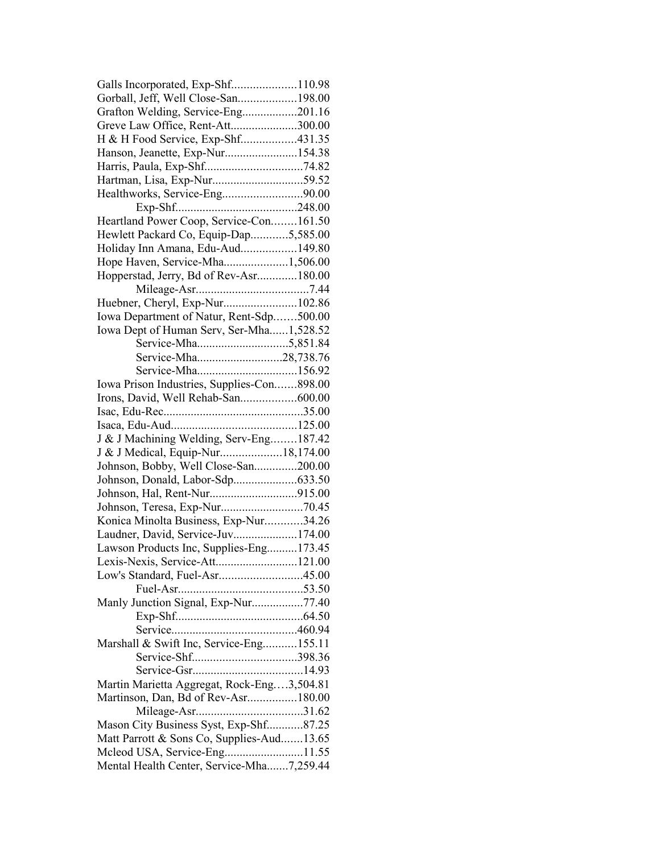| Galls Incorporated, Exp-Shf110.98          |  |
|--------------------------------------------|--|
| Gorball, Jeff, Well Close-San198.00        |  |
| Grafton Welding, Service-Eng201.16         |  |
| Greve Law Office, Rent-Att300.00           |  |
| H & H Food Service, Exp-Shf431.35          |  |
| Hanson, Jeanette, Exp-Nur154.38            |  |
|                                            |  |
| Hartman, Lisa, Exp-Nur59.52                |  |
| Healthworks, Service-Eng90.00              |  |
|                                            |  |
| Heartland Power Coop, Service-Con161.50    |  |
| Hewlett Packard Co, Equip-Dap5,585.00      |  |
| Holiday Inn Amana, Edu-Aud149.80           |  |
|                                            |  |
| Hope Haven, Service-Mha1,506.00            |  |
| Hopperstad, Jerry, Bd of Rev-Asr180.00     |  |
|                                            |  |
| Huebner, Cheryl, Exp-Nur102.86             |  |
| Iowa Department of Natur, Rent-Sdp500.00   |  |
| Iowa Dept of Human Serv, Ser-Mha1,528.52   |  |
|                                            |  |
| Service-Mha28,738.76                       |  |
| Service-Mha156.92                          |  |
| Iowa Prison Industries, Supplies-Con898.00 |  |
| Irons, David, Well Rehab-San600.00         |  |
|                                            |  |
|                                            |  |
| J & J Machining Welding, Serv-Eng187.42    |  |
| J & J Medical, Equip-Nur18,174.00          |  |
| Johnson, Bobby, Well Close-San200.00       |  |
| Johnson, Donald, Labor-Sdp633.50           |  |
|                                            |  |
|                                            |  |
| Konica Minolta Business, Exp-Nur34.26      |  |
| Laudner, David, Service-Juv174.00          |  |
|                                            |  |
| Lawson Products Inc, Supplies-Eng173.45    |  |
| Lexis-Nexis, Service-Att121.00             |  |
| Low's Standard, Fuel-Asr45.00              |  |
|                                            |  |
| Manly Junction Signal, Exp-Nur77.40        |  |
|                                            |  |
|                                            |  |
| Marshall & Swift Inc, Service-Eng155.11    |  |
|                                            |  |
|                                            |  |
| Martin Marietta Aggregat, Rock-Eng3,504.81 |  |
| Martinson, Dan, Bd of Rev-Asr180.00        |  |
|                                            |  |
| Mason City Business Syst, Exp-Shf87.25     |  |
| Matt Parrott & Sons Co, Supplies-Aud13.65  |  |
| Mcleod USA, Service-Eng11.55               |  |
| Mental Health Center, Service-Mha7,259.44  |  |
|                                            |  |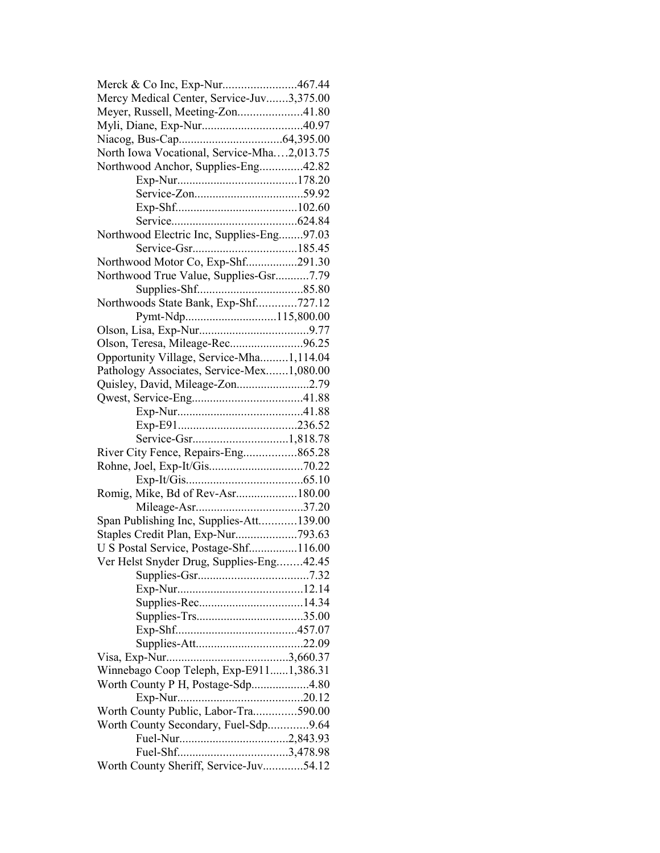| Merck & Co Inc, Exp-Nur467.44              |  |
|--------------------------------------------|--|
| Mercy Medical Center, Service-Juv3,375.00  |  |
| Meyer, Russell, Meeting-Zon41.80           |  |
|                                            |  |
|                                            |  |
| North Iowa Vocational, Service-Mha2,013.75 |  |
| Northwood Anchor, Supplies-Eng42.82        |  |
|                                            |  |
|                                            |  |
|                                            |  |
|                                            |  |
| Northwood Electric Inc, Supplies-Eng97.03  |  |
|                                            |  |
| Northwood Motor Co, Exp-Shf291.30          |  |
|                                            |  |
| Northwood True Value, Supplies-Gsr7.79     |  |
|                                            |  |
| Northwoods State Bank, Exp-Shf727.12       |  |
| Pymt-Ndp115,800.00                         |  |
|                                            |  |
| Olson, Teresa, Mileage-Rec96.25            |  |
| Opportunity Village, Service-Mha1,114.04   |  |
| Pathology Associates, Service-Mex1,080.00  |  |
| Quisley, David, Mileage-Zon2.79            |  |
|                                            |  |
|                                            |  |
|                                            |  |
|                                            |  |
| River City Fence, Repairs-Eng865.28        |  |
|                                            |  |
|                                            |  |
| Romig, Mike, Bd of Rev-Asr180.00           |  |
|                                            |  |
| Span Publishing Inc, Supplies-Att139.00    |  |
| Staples Credit Plan, Exp-Nur793.63         |  |
| U S Postal Service, Postage-Shf116.00      |  |
| Ver Helst Snyder Drug, Supplies-Eng42.45   |  |
|                                            |  |
|                                            |  |
|                                            |  |
|                                            |  |
|                                            |  |
|                                            |  |
|                                            |  |
|                                            |  |
| Winnebago Coop Teleph, Exp-E9111,386.31    |  |
| Worth County P H, Postage-Sdp4.80          |  |
|                                            |  |
| Worth County Public, Labor-Tra590.00       |  |
| Worth County Secondary, Fuel-Sdp9.64       |  |
|                                            |  |
|                                            |  |
| Worth County Sheriff, Service-Juv54.12     |  |